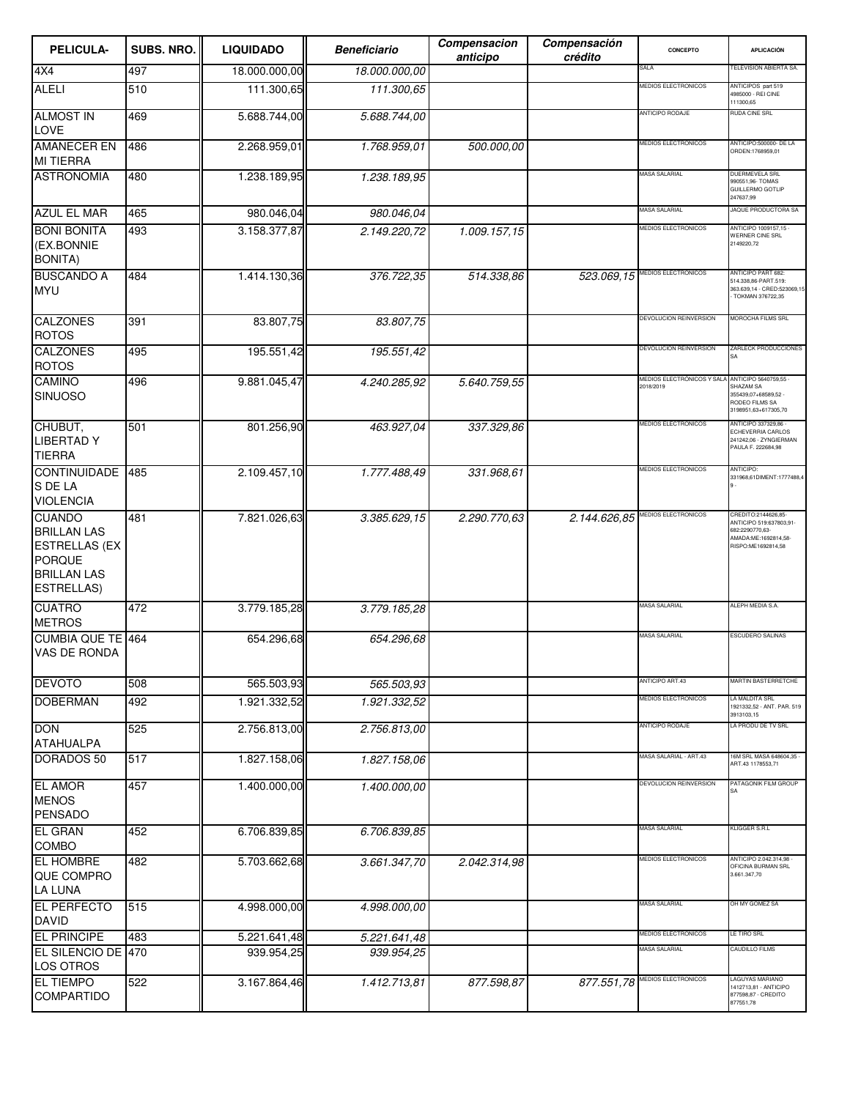| PELICULA-                                                                                                               | SUBS. NRO. | <b>LIQUIDADO</b> | <b>Beneficiario</b> | Compensacion<br>anticipo | Compensación<br>crédito | CONCEPTO                                | <b>APLICACIÓN</b>                                                                                               |
|-------------------------------------------------------------------------------------------------------------------------|------------|------------------|---------------------|--------------------------|-------------------------|-----------------------------------------|-----------------------------------------------------------------------------------------------------------------|
| 4X4                                                                                                                     | 497        | 18.000.000,00    | 18.000.000,00       |                          |                         | SALA                                    | TELEVISION ABIERTA SA.                                                                                          |
| ALELI                                                                                                                   | 510        | 111.300,65       | 111.300,65          |                          |                         | <b>MEDIOS ELECTRONICOS</b>              | ANTICIPOS part 519<br>4985000 - REI CINE<br>111300,65                                                           |
| <b>ALMOST IN</b><br><b>LOVE</b>                                                                                         | 469        | 5.688.744,00     | 5.688.744,00        |                          |                         | ANTICIPO RODAJE                         | RUDA CINE SRL                                                                                                   |
| <b>AMANECER EN</b><br><b>MI TIERRA</b>                                                                                  | 486        | 2.268.959,01     | 1.768.959,01        | 500.000,00               |                         | <b>MEDIOS ELECTRONICOS</b>              | ANTICIPO:500000- DE LA<br>ORDEN:1768959,01                                                                      |
| <b>ASTRONOMIA</b>                                                                                                       | 480        | 1.238.189,95     | 1.238.189,95        |                          |                         | <b>MASA SALARIAL</b>                    | DUERMEVELA SRL<br>990551,96- TOMAS<br><b>GUILLERMO GOTLIP</b><br>247637,99                                      |
| <b>AZUL EL MAR</b>                                                                                                      | 465        | 980.046,04       | 980.046,04          |                          |                         | <b>MASA SALARIAL</b>                    | JAQUE PRODUCTORA SA                                                                                             |
| <b>BONI BONITA</b><br>(EX.BONNIE<br><b>BONITA)</b>                                                                      | 493        | 3.158.377,87     | 2.149.220,72        | 1.009.157,15             |                         | <b>MEDIOS ELECTRONICOS</b>              | ANTICIPO 1009157,15<br>WERNER CINE SRL<br>2149220,72                                                            |
| <b>BUSCANDO A</b><br><b>MYU</b>                                                                                         | 484        | 1.414.130.36     | 376.722,35          | 514.338,86               | 523.069.15              | MEDIOS ELECTRONICOS                     | ANTICIPO PART 682:<br>514.338,86-PART.519:<br>363.639,14 - CRED:523069,15<br>TOKMAN 376722,35                   |
| <b>CALZONES</b><br><b>ROTOS</b>                                                                                         | 391        | 83.807,75        | 83.807,75           |                          |                         | DEVOLUCION REINVERSION                  | MOROCHA FILMS SRL                                                                                               |
| <b>CALZONES</b><br><b>ROTOS</b>                                                                                         | 495        | 195.551,42       | 195.551,42          |                          |                         | DEVOLUCION REINVERSION                  | ZARLECK PRODUCCIONES<br>SΑ                                                                                      |
| <b>CAMINO</b><br><b>SINUOSO</b>                                                                                         | 496        | 9.881.045,47     | 4.240.285,92        | 5.640.759,55             |                         | MEDIOS ELECTRÓNICOS Y SALA<br>2018/2019 | ANTICIPO 5640759,55<br>SHAZAM SA<br>355439,07+68589,52 -<br>RODEO FILMS SA<br>3198951.63+617305.70              |
| CHUBUT,<br><b>LIBERTADY</b><br><b>TIERRA</b>                                                                            | 501        | 801.256,90       | 463.927,04          | 337.329,86               |                         | <b>MEDIOS ELECTRONICOS</b>              | ANTICIPO 337329.86<br>ECHEVERRIA CARLOS<br>241242,06 - ZYNGIERMAN<br>PAULA F. 222684,98                         |
| <b>CONTINUIDADE</b><br>S DE LA<br><b>VIOLENCIA</b>                                                                      | 485        | 2.109.457,10     | 1.777.488,49        | 331.968,61               |                         | <b>MEDIOS ELECTRONICOS</b>              | ANTICIPO:<br>331968,61DIMENT:1777488,4                                                                          |
| <b>CUANDO</b><br><b>BRILLAN LAS</b><br><b>ESTRELLAS (EX</b><br><b>PORQUE</b><br><b>BRILLAN LAS</b><br><b>ESTRELLAS)</b> | 481        | 7.821.026,63     | 3.385.629,15        | 2.290.770,63             | 2.144.626,85            | <b>MEDIOS ELECTRONICOS</b>              | CREDITO:2144626,85-<br>ANTICIPO 519:637803,91-<br>682:2290770.63-<br>AMADA:ME:1692814,58-<br>RISPO:ME1692814,58 |
| <b>CUATRO</b><br><b>METROS</b>                                                                                          | 472        | 3.779.185,28     | 3.779.185,28        |                          |                         | MASA SALARIAL                           | ALEPH MEDIA S.A.                                                                                                |
| <b>CUMBIA QUE TE 464</b><br>VAS DE RONDA                                                                                |            | 654.296,68       | 654.296,68          |                          |                         | MASA SALARIAL                           | ESCUDERO SALINAS                                                                                                |
| <b>DEVOTO</b>                                                                                                           | 508        | 565.503,93       | 565.503,93          |                          |                         | ANTICIPO ART.43                         | MARTIN BASTERRETCHE                                                                                             |
| <b>DOBERMAN</b>                                                                                                         | 492        | 1.921.332,52     | 1.921.332,52        |                          |                         | <b>MEDIOS ELECTRONICOS</b>              | LA MALDITA SRL<br>1921332,52 - ANT. PAR. 519<br>3913103,15                                                      |
| <b>DON</b><br><b>ATAHUALPA</b>                                                                                          | 525        | 2.756.813,00     | 2.756.813,00        |                          |                         | ANTICIPO RODAJE                         | LA PRODU DE TV SRL                                                                                              |
| <b>DORADOS 50</b>                                                                                                       | 517        | 1.827.158,06     | 1.827.158,06        |                          |                         | MASA SALARIAL - ART.43                  | 16M SRL MASA 648604,35 -<br>ART.43 1178553,71                                                                   |
| <b>EL AMOR</b><br><b>MENOS</b><br><b>PENSADO</b>                                                                        | 457        | 1.400.000,00     | 1.400.000,00        |                          |                         | <b>DEVOLUCION REINVERSION</b>           | PATAGONIK FILM GROUP                                                                                            |
| <b>EL GRAN</b><br>COMBO                                                                                                 | 452        | 6.706.839,85     | 6.706.839,85        |                          |                         | <b>MASA SALARIAL</b>                    | KLIGGER S.R.L                                                                                                   |
| <b>EL HOMBRE</b><br>QUE COMPRO<br><b>LA LUNA</b>                                                                        | 482        | 5.703.662,68     | 3.661.347,70        | 2.042.314,98             |                         | <b>MEDIOS ELECTRONICOS</b>              | ANTICIPO 2.042.314,98 -<br>OFICINA BURMAN SRL<br>3.661.347,70                                                   |
| <b>EL PERFECTO</b><br><b>DAVID</b>                                                                                      | 515        | 4.998.000,00     | 4.998.000,00        |                          |                         | <b>MASA SALARIAL</b>                    | OH MY GOMEZ SA                                                                                                  |
| <b>EL PRINCIPE</b>                                                                                                      | 483        | 5.221.641,48     | 5.221.641,48        |                          |                         | <b>MEDIOS ELECTRONICOS</b>              | LE TIRO SRL                                                                                                     |
| EL SILENCIO DE 470<br>LOS OTROS                                                                                         |            | 939.954,25       | 939.954,25          |                          |                         | <b>MASA SALARIAL</b>                    | <b>CAUDILLO FILMS</b>                                                                                           |
| <b>EL TIEMPO</b><br><b>COMPARTIDO</b>                                                                                   | 522        | 3.167.864,46     | 1.412.713,81        | 877.598,87               | 877.551,78              | MEDIOS ELECTRONICOS                     | AGUYAS MARIANO<br>1412713,81 - ANTICIPO<br>877598,87 - CREDITO<br>877551,78                                     |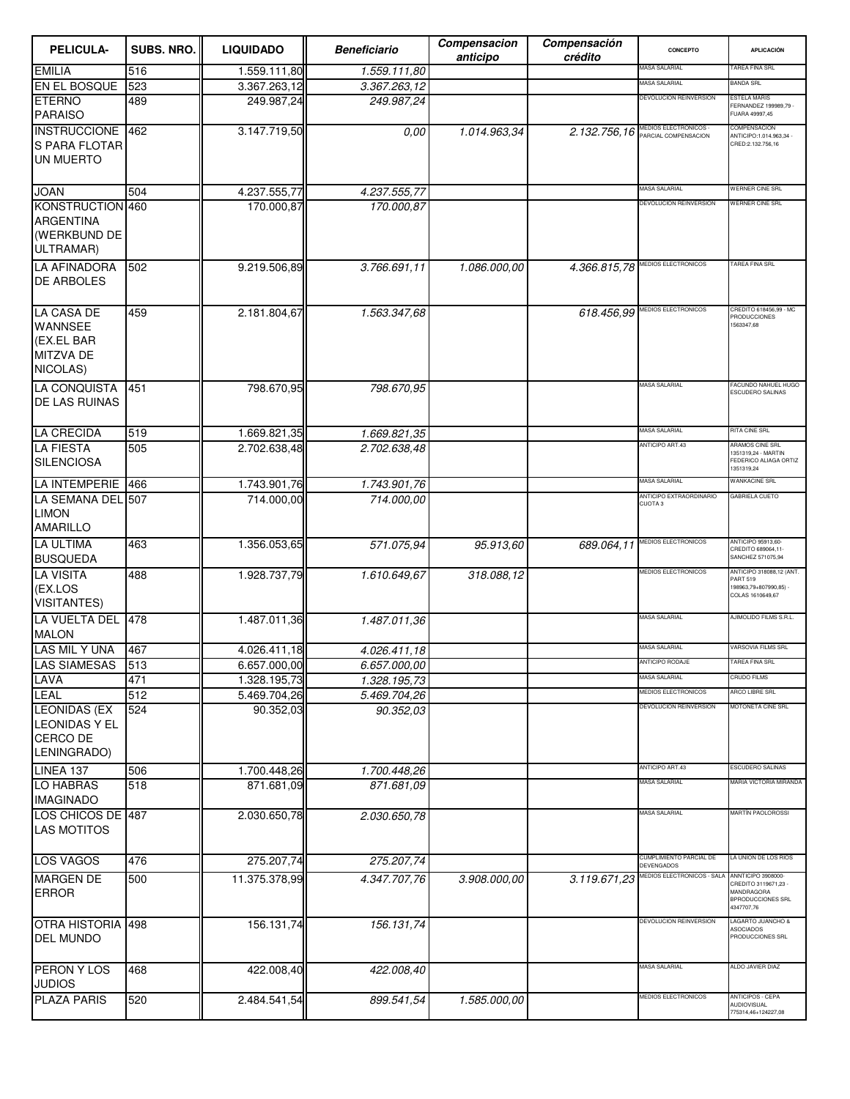| <b>PELICULA-</b>                                                                  | SUBS. NRO. | <b>LIQUIDADO</b>          | <b>Beneficiario</b>       | Compensacion<br>anticipo | Compensación<br>crédito | CONCEPTO                                      | <b>APLICACIÓN</b>                                                                                  |
|-----------------------------------------------------------------------------------|------------|---------------------------|---------------------------|--------------------------|-------------------------|-----------------------------------------------|----------------------------------------------------------------------------------------------------|
| <b>EMILIA</b>                                                                     | 516        | 1.559.111,80              | 1.559.111,80              |                          |                         | MASA SALARIAL                                 | <b>TAREA FINA SRL</b>                                                                              |
| EN EL BOSQUE                                                                      | 523        | 3.367.263,12              | 3.367.263,12              |                          |                         | MASA SALARIAL                                 | <b>BANDA SRL</b>                                                                                   |
| <b>ETERNO</b><br><b>PARAISO</b>                                                   | 489        | 249.987,24                | 249.987,24                |                          |                         | DEVOLUCION REINVERSION                        | <b>STELA MARIS</b><br>FERNANDEZ 199989,79 -<br>FUARA 49997,45                                      |
| INSTRUCCIONE 462<br>S PARA FLOTAR<br>UN MUERTO                                    |            | 3.147.719,50              | 0.00                      | 1.014.963,34             | 2.132.756,16            | MEDIOS ELECTRONICOS -<br>PARCIAL COMPENSACION | COMPENSACION<br>ANTICIPO:1.014.963,34<br>CRED:2.132.756,16                                         |
| <b>JOAN</b>                                                                       | 504        | 4.237.555,77              | 4.237.555,77              |                          |                         | MASA SALARIAL                                 | <b>WERNER CINE SRL</b>                                                                             |
| KONSTRUCTION 460<br><b>ARGENTINA</b><br>(WERKBUND DE<br>ULTRAMAR)                 |            | 170.000,87                | 170.000,87                |                          |                         | DEVOLUCION REINVERSION                        | WERNER CINE SRL                                                                                    |
| <b>LA AFINADORA</b><br><b>DE ARBOLES</b>                                          | 502        | 9.219.506,89              | 3.766.691,11              | 1.086.000,00             | 4.366.815,78            | MEDIOS ELECTRONICOS                           | TAREA FINA SRL                                                                                     |
| <b>LA CASA DE</b><br><b>WANNSEE</b><br>(EX.EL BAR<br><b>MITZVA DE</b><br>NICOLAS) | 459        | 2.181.804,67              | 1.563.347,68              |                          | 618.456,99              | MEDIOS ELECTRONICOS                           | CREDITO 618456,99 - MC<br>RODUCCIONES<br>1563347,68                                                |
| <b>LA CONQUISTA</b><br><b>DE LAS RUINAS</b>                                       | 451        | 798.670,95                | 798.670,95                |                          |                         | MASA SALARIAL                                 | FACUNDO NAHUEL HUGO<br>ESCUDERO SALINAS                                                            |
| <b>LA CRECIDA</b>                                                                 | 519        | 1.669.821,35              | 1.669.821,35              |                          |                         | MASA SALARIAL                                 | RITA CINE SRL                                                                                      |
| <b>LA FIESTA</b><br><b>SILENCIOSA</b>                                             | 505        | 2.702.638,48              | 2.702.638,48              |                          |                         | ANTICIPO ART.43                               | ARAMOS CINE SRL<br>1351319,24 - MARTIN<br>FEDERICO ALIAGA ORTIZ<br>1351319,24                      |
| <b>LA INTEMPERIE</b>                                                              | 466        | 1.743.901,76              | 1.743.901,76              |                          |                         | MASA SALARIAL                                 | <b>WANKACINE SRL</b>                                                                               |
| LA SEMANA DEL 507<br><b>LIMON</b><br><b>AMARILLO</b>                              |            | 714.000,00                | 714.000,00                |                          |                         | ANTICIPO EXTRAORDINARIO<br><b>CUOTA3</b>      | <b>GABRIELA CUETO</b>                                                                              |
| <b>LA ULTIMA</b><br><b>BUSQUEDA</b>                                               | 463        | 1.356.053,65              | 571.075,94                | 95.913.60                | 689.064,11              | MEDIOS ELECTRONICOS                           | ANTICIPO 95913,60-<br>CREDITO 689064,11-<br>SANCHEZ 571075,94                                      |
| <b>LA VISITA</b><br>(EX.LOS<br><b>VISITANTES)</b>                                 | 488        | 1.928.737,79              | 1.610.649,67              | 318.088,12               |                         | <b>MEDIOS ELECTRONICOS</b>                    | ANTICIPO 318088,12 (ANT.<br><b>PART 519</b><br>198963,79+807990,85) -<br>COLAS 1610649,67          |
| LA VUELTA DEL 478<br><b>MALON</b>                                                 |            | 1.487.011,36              | 1.487.011,36              |                          |                         | MASA SALARIAL                                 | AJIMOLIDO FILMS S.R.L.                                                                             |
| LAS MIL Y UNA                                                                     | 467        | 4.026.411,18              | 4.026.411.18              |                          |                         | <b>MASA SALARIAL</b>                          | <b>VARSOVIA FILMS SRL</b>                                                                          |
| LAS SIAMESAS                                                                      | 513        | 6.657.000,00              | 6.657.000,00              |                          |                         | IN I IUIPU HUDAJE                             | AREA FINA SR                                                                                       |
| LAVA                                                                              | 471        | 1.328.195,73              | 1.328.195,73              |                          |                         | <b>MASA SALARIAL</b><br>MEDIOS ELECTRONICOS   | <b>CRUDO FILMS</b><br>ARCO LIBRE SRL                                                               |
| LEAL<br><b>LEONIDAS (EX</b><br><b>LEONIDAS Y EL</b><br>CERCO DE<br>LENINGRADO)    | 512<br>524 | 5.469.704,26<br>90.352,03 | 5.469.704,26<br>90.352,03 |                          |                         | DEVOLUCION REINVERSION<br>ANTICIPO ART.43     | MOTONETA CINE SRL<br><b>ESCUDERO SALINAS</b>                                                       |
| LINEA 137                                                                         | 506        | 1.700.448,26              | 1.700.448,26              |                          |                         | MASA SALARIAL                                 | MARIA VICTORIA MIRANDA                                                                             |
| <b>LO HABRAS</b><br><b>IMAGINADO</b>                                              | 518        | 871.681,09                | 871.681.09                |                          |                         |                                               | <b>MARTÍN PAOLOROSSI</b>                                                                           |
| LOS CHICOS DE 487<br><b>LAS MOTITOS</b>                                           |            | 2.030.650,78              | 2.030.650,78              |                          |                         | MASA SALARIAL                                 |                                                                                                    |
| <b>LOS VAGOS</b>                                                                  | 476        | 275.207,74                | 275.207,74                |                          |                         | CUMPLIMIENTO PARCIAL DE<br>DEVENGADOS         | A UNION DE LOS RIOS                                                                                |
| <b>MARGEN DE</b><br><b>ERROR</b>                                                  | 500        | 11.375.378,99             | 4.347.707,76              | 3.908.000,00             | 3.119.671,23            | MEDIOS ELECTRONICOS - SALA                    | ANNTICIPO 3908000-<br>CREDITO 3119671,23 -<br>MANDRAGORA<br><b>BPRODUCCIONES SRL</b><br>4347707,76 |
| OTRA HISTORIA 498<br><b>DEL MUNDO</b>                                             |            | 156.131,74                | 156.131,74                |                          |                         | DEVOLUCION REINVERSION                        | LAGARTO JUANCHO &<br><b>ASOCIADOS</b><br>PRODUCCIONES SRL                                          |
| <b>PERON Y LOS</b><br><b>JUDIOS</b>                                               | 468        | 422.008,40                | 422.008,40                |                          |                         | MASA SALARIAL                                 | ALDO JAVIER DIAZ                                                                                   |
| <b>PLAZA PARIS</b>                                                                | 520        | 2.484.541,54              | 899.541,54                | 1.585.000,00             |                         | MEDIOS ELECTRONICOS                           | ANTICIPOS - CEPA<br><b>AUDIOVISUAL</b><br>775314,46+124227,08                                      |